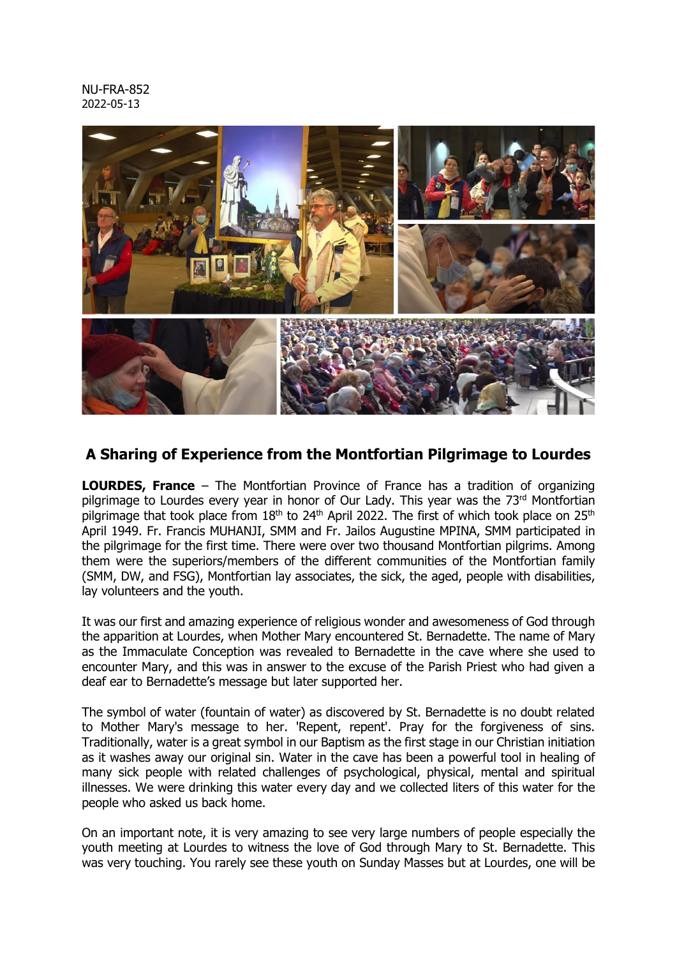NU-FRA-852 2022-05-13



## **A Sharing of Experience from the Montfortian Pilgrimage to Lourdes**

**LOURDES, France** – The Montfortian Province of France has a tradition of organizing pilgrimage to Lourdes every year in honor of Our Lady. This year was the 73rd Montfortian pilgrimage that took place from  $18<sup>th</sup>$  to 24<sup>th</sup> April 2022. The first of which took place on 25<sup>th</sup> April 1949. Fr. Francis MUHANJI, SMM and Fr. Jailos Augustine MPINA, SMM participated in the pilgrimage for the first time. There were over two thousand Montfortian pilgrims. Among them were the superiors/members of the different communities of the Montfortian family (SMM, DW, and FSG), Montfortian lay associates, the sick, the aged, people with disabilities, lay volunteers and the youth.

It was our first and amazing experience of religious wonder and awesomeness of God through the apparition at Lourdes, when Mother Mary encountered St. Bernadette. The name of Mary as the Immaculate Conception was revealed to Bernadette in the cave where she used to encounter Mary, and this was in answer to the excuse of the Parish Priest who had given a deaf ear to Bernadette's message but later supported her.

The symbol of water (fountain of water) as discovered by St. Bernadette is no doubt related to Mother Mary's message to her. 'Repent, repent'. Pray for the forgiveness of sins. Traditionally, water is a great symbol in our Baptism as the first stage in our Christian initiation as it washes away our original sin. Water in the cave has been a powerful tool in healing of many sick people with related challenges of psychological, physical, mental and spiritual illnesses. We were drinking this water every day and we collected liters of this water for the people who asked us back home.

On an important note, it is very amazing to see very large numbers of people especially the youth meeting at Lourdes to witness the love of God through Mary to St. Bernadette. This was very touching. You rarely see these youth on Sunday Masses but at Lourdes, one will be